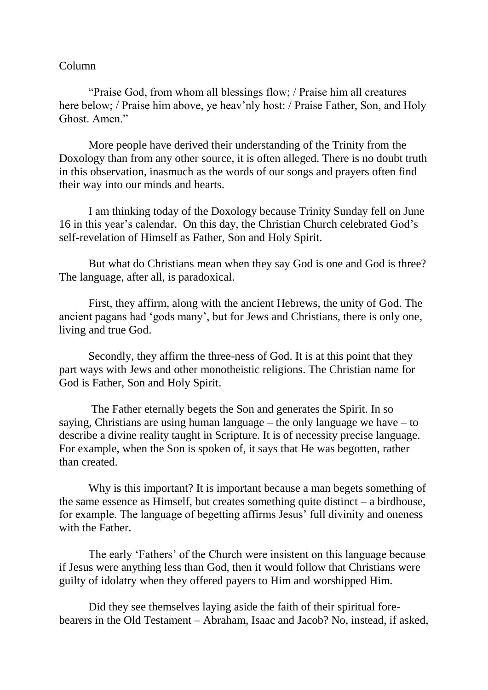## Column

"Praise God, from whom all blessings flow; / Praise him all creatures here below; / Praise him above, ye heav'nly host: / Praise Father, Son, and Holy Ghost. Amen."

More people have derived their understanding of the Trinity from the Doxology than from any other source, it is often alleged. There is no doubt truth in this observation, inasmuch as the words of our songs and prayers often find their way into our minds and hearts.

I am thinking today of the Doxology because Trinity Sunday fell on June 16 in this year's calendar. On this day, the Christian Church celebrated God's self-revelation of Himself as Father, Son and Holy Spirit.

But what do Christians mean when they say God is one and God is three? The language, after all, is paradoxical.

First, they affirm, along with the ancient Hebrews, the unity of God. The ancient pagans had 'gods many', but for Jews and Christians, there is only one, living and true God.

Secondly, they affirm the three-ness of God. It is at this point that they part ways with Jews and other monotheistic religions. The Christian name for God is Father, Son and Holy Spirit.

The Father eternally begets the Son and generates the Spirit. In so saying, Christians are using human language – the only language we have  $-$  to describe a divine reality taught in Scripture. It is of necessity precise language. For example, when the Son is spoken of, it says that He was begotten, rather than created.

Why is this important? It is important because a man begets something of the same essence as Himself, but creates something quite distinct – a birdhouse, for example. The language of begetting affirms Jesus' full divinity and oneness with the Father.

The early 'Fathers' of the Church were insistent on this language because if Jesus were anything less than God, then it would follow that Christians were guilty of idolatry when they offered payers to Him and worshipped Him.

Did they see themselves laying aside the faith of their spiritual forebearers in the Old Testament – Abraham, Isaac and Jacob? No, instead, if asked,